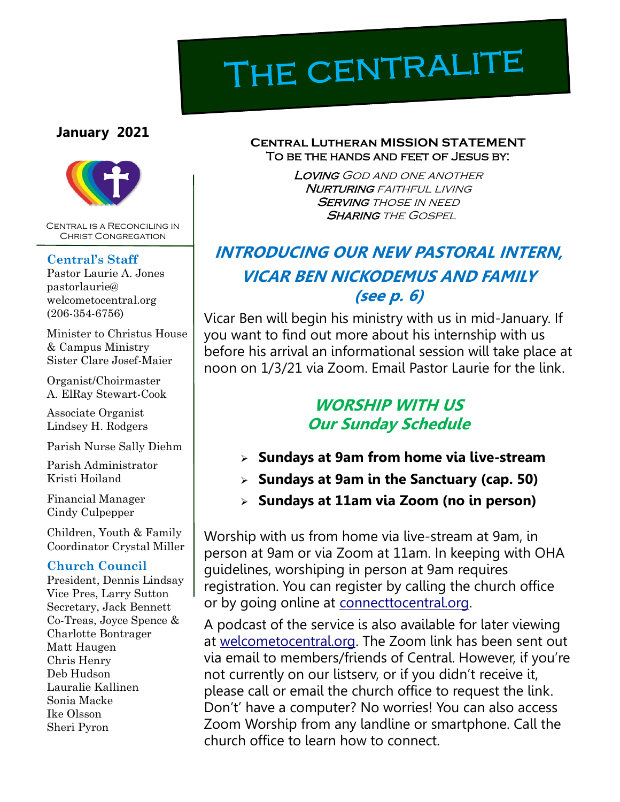# THE CENTRALITE

#### **January 2021**



Central is a Reconciling in Christ Congregation

#### **Central's Staff**

Pastor Laurie A. Jones pastorlaurie@ welcometocentral.org (206-354-6756)

Minister to Christus House & Campus Ministry Sister Clare Josef-Maier

Organist/Choirmaster A. ElRay Stewart-Cook

Associate Organist Lindsey H. Rodgers

Parish Nurse Sally Diehm

Parish Administrator Kristi Hoiland

Financial Manager Cindy Culpepper

Children, Youth & Family Coordinator Crystal Miller

#### **Church Council**

President, Dennis Lindsay Vice Pres, Larry Sutton Secretary, Jack Bennett Co-Treas, Joyce Spence & Charlotte Bontrager Matt Haugen Chris Henry Deb Hudson Lauralie Kallinen Sonia Macke Ike Olsson Sheri Pyron

#### **Central Lutheran MISSION STATEMENT** To be the hands and feet of Jesus by:

Loving God and one another **NURTURING** FAITHFUL LIVING **SERVING THOSE IN NEED SHARING THE GOSPEL** 

# **INTRODUCING OUR NEW PASTORAL INTERN, VICAR BEN NICKODEMUS AND FAMILY (see p. 6)**

Vicar Ben will begin his ministry with us in mid-January. If you want to find out more about his internship with us before his arrival an informational session will take place at noon on 1/3/21 via Zoom. Email Pastor Laurie for the link.

# **WORSHIP WITH US Our Sunday Schedule**

- ➢ **Sundays at 9am from home via live-stream**
- ➢ **Sundays at 9am in the Sanctuary (cap. 50)**
- ➢ **Sundays at 11am via Zoom (no in person)**

Worship with us from home via live-stream at 9am, in person at 9am or via Zoom at 11am. In keeping with OHA guidelines, worshiping in person at 9am requires registration. You can register by calling the church office or by going online at connecttocentral.org.

A podcast of the service is also available for later viewing at [welcometocentral.org.](welcometocentral.org) The Zoom link has been sent out via email to members/friends of Central. However, if you're not currently on our listserv, or if you didn't receive it, please call or email the church office to request the link. Don't' have a computer? No worries! You can also access Zoom Worship from any landline or smartphone. Call the church office to learn how to connect.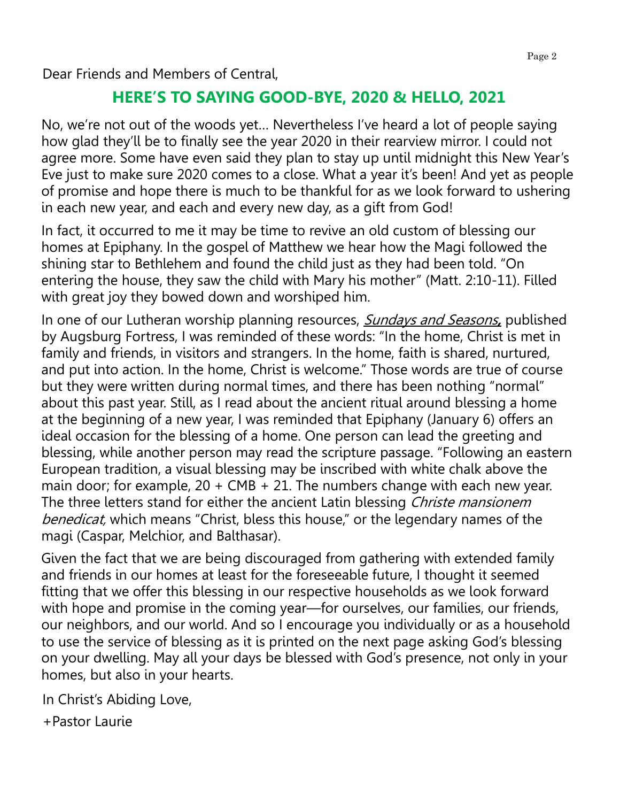# **HERE'S TO SAYING GOOD-BYE, 2020 & HELLO, 2021**

No, we're not out of the woods yet… Nevertheless I've heard a lot of people saying how glad they'll be to finally see the year 2020 in their rearview mirror. I could not agree more. Some have even said they plan to stay up until midnight this New Year's Eve just to make sure 2020 comes to a close. What a year it's been! And yet as people of promise and hope there is much to be thankful for as we look forward to ushering in each new year, and each and every new day, as a gift from God!

In fact, it occurred to me it may be time to revive an old custom of blessing our homes at Epiphany. In the gospel of Matthew we hear how the Magi followed the shining star to Bethlehem and found the child just as they had been told. "On entering the house, they saw the child with Mary his mother" (Matt. 2:10-11). Filled with great joy they bowed down and worshiped him.

In one of our Lutheran worship planning resources, Sundays and Seasons**,** published by Augsburg Fortress, I was reminded of these words: "In the home, Christ is met in family and friends, in visitors and strangers. In the home, faith is shared, nurtured, and put into action. In the home, Christ is welcome." Those words are true of course but they were written during normal times, and there has been nothing "normal" about this past year. Still, as I read about the ancient ritual around blessing a home at the beginning of a new year, I was reminded that Epiphany (January 6) offers an ideal occasion for the blessing of a home. One person can lead the greeting and blessing, while another person may read the scripture passage. "Following an eastern European tradition, a visual blessing may be inscribed with white chalk above the main door; for example,  $20 + CMB + 21$ . The numbers change with each new year. The three letters stand for either the ancient Latin blessing Christe mansionem benedicat, which means "Christ, bless this house," or the legendary names of the magi (Caspar, Melchior, and Balthasar).

Given the fact that we are being discouraged from gathering with extended family and friends in our homes at least for the foreseeable future, I thought it seemed fitting that we offer this blessing in our respective households as we look forward with hope and promise in the coming year—for ourselves, our families, our friends, our neighbors, and our world. And so I encourage you individually or as a household to use the service of blessing as it is printed on the next page asking God's blessing on your dwelling. May all your days be blessed with God's presence, not only in your homes, but also in your hearts.

In Christ's Abiding Love,

+Pastor Laurie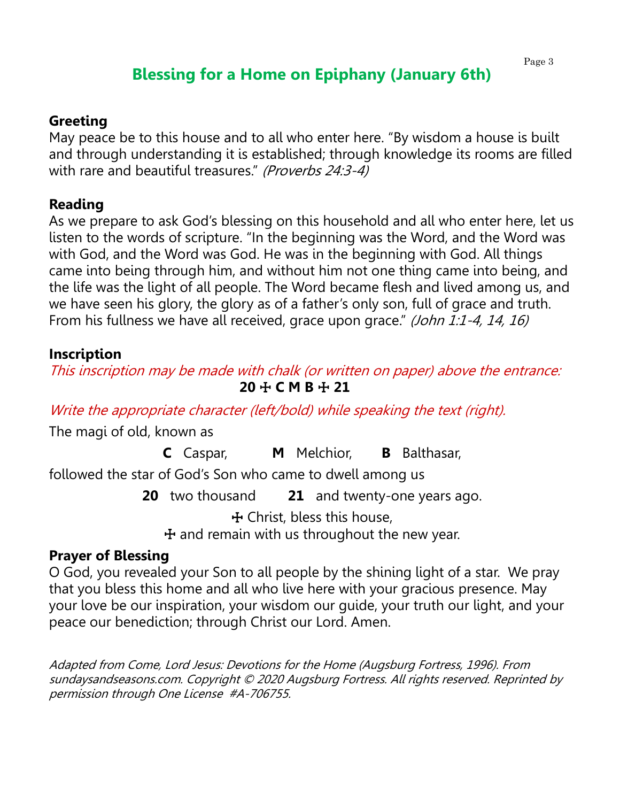# **Blessing for a Home on Epiphany (January 6th)**

#### Page 3

#### **Greeting**

May peace be to this house and to all who enter here. "By wisdom a house is built and through understanding it is established; through knowledge its rooms are filled with rare and beautiful treasures." (Proverbs 24:3-4)

#### **Reading**

As we prepare to ask God's blessing on this household and all who enter here, let us listen to the words of scripture. "In the beginning was the Word, and the Word was with God, and the Word was God. He was in the beginning with God. All things came into being through him, and without him not one thing came into being, and the life was the light of all people. The Word became flesh and lived among us, and we have seen his glory, the glory as of a father's only son, full of grace and truth. From his fullness we have all received, grace upon grace." (John 1:1-4, 14, 16)

#### **Inscription**

This inscription may be made with chalk (or written on paper) above the entrance: **20** ☩ **C M B** ☩ **21**

Write the appropriate character (left/bold) while speaking the text (right).

The magi of old, known as

**C** Caspar, **M** Melchior, **B** Balthasar,

followed the star of God's Son who came to dwell among us

**20** two thousand **21** and twenty-one years ago.

☩ Christ, bless this house,

 $+$  and remain with us throughout the new year.

#### **Prayer of Blessing**

O God, you revealed your Son to all people by the shining light of a star. We pray that you bless this home and all who live here with your gracious presence. May your love be our inspiration, your wisdom our guide, your truth our light, and your peace our benediction; through Christ our Lord. Amen.

Adapted from Come, Lord Jesus: Devotions for the Home (Augsburg Fortress, 1996). From sundaysandseasons.com. Copyright © 2020 Augsburg Fortress. All rights reserved. Reprinted by permission through One License #A-706755.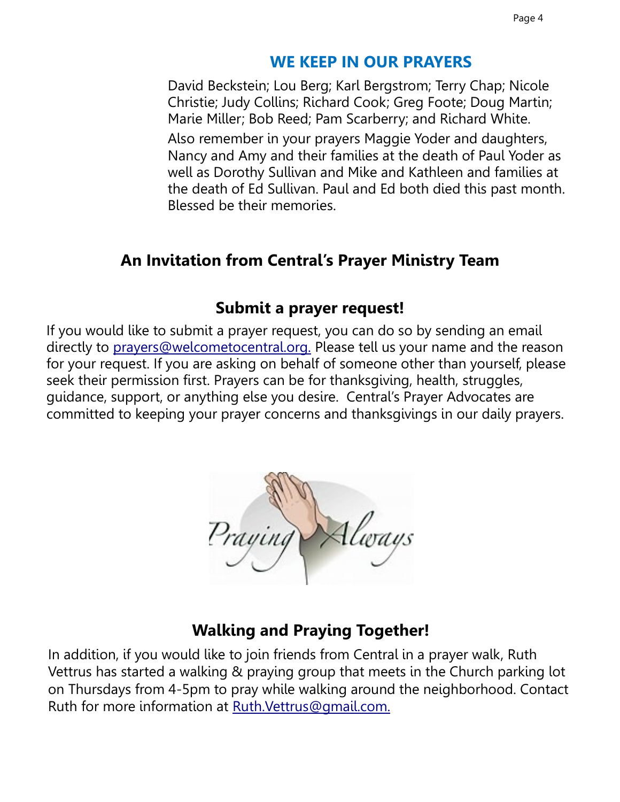### **WE KEEP IN OUR PRAYERS**

David Beckstein; Lou Berg; Karl Bergstrom; Terry Chap; Nicole Christie; Judy Collins; Richard Cook; Greg Foote; Doug Martin; Marie Miller; Bob Reed; Pam Scarberry; and Richard White.

Also remember in your prayers Maggie Yoder and daughters, Nancy and Amy and their families at the death of Paul Yoder as well as Dorothy Sullivan and Mike and Kathleen and families at the death of Ed Sullivan. Paul and Ed both died this past month. Blessed be their memories.

# **An Invitation from Central's Prayer Ministry Team**

## **Submit a prayer request!**

If you would like to submit a prayer request, you can do so by sending an email directly to [prayers@welcometocentral.org.](mailto:prayers@welcometocentral.org) Please tell us your name and the reason for your request. If you are asking on behalf of someone other than yourself, please seek their permission first. Prayers can be for thanksgiving, health, struggles, guidance, support, or anything else you desire. Central's Prayer Advocates are committed to keeping your prayer concerns and thanksgivings in our daily prayers.



# **Walking and Praying Together!**

In addition, if you would like to join friends from Central in a prayer walk, Ruth Vettrus has started a walking & praying group that meets in the Church parking lot on Thursdays from 4-5pm to pray while walking around the neighborhood. Contact Ruth for more information at [Ruth.Vettrus@gmail.com.](mailto:RuthVettrus@gmail.com)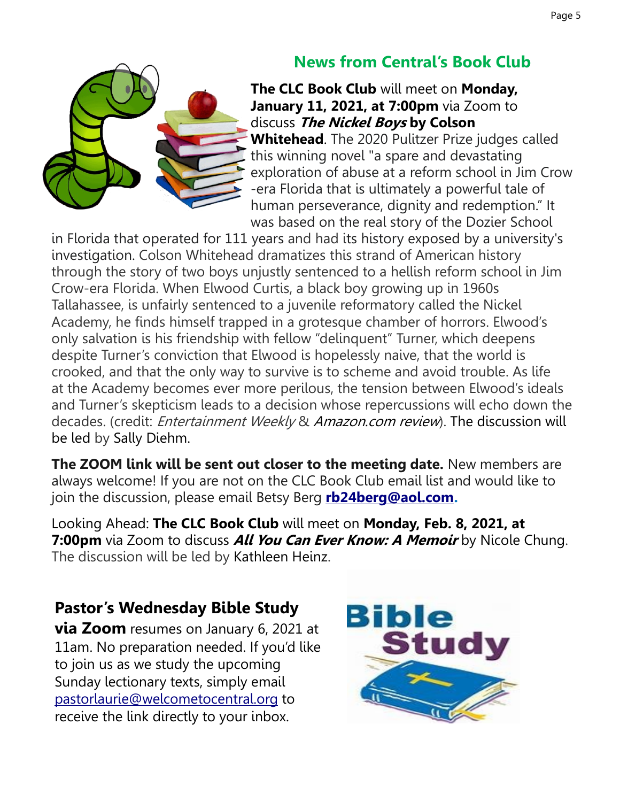# **News from Central's Book Club**

**The CLC Book Club** will meet on **Monday, January 11, 2021, at 7:00pm** via Zoom to discuss **The Nickel Boys by Colson Whitehead**. The 2020 Pulitzer Prize judges called this winning novel "a spare and devastating exploration of abuse at a reform school in Jim Crow -era Florida that is ultimately a powerful tale of human perseverance, dignity and redemption." It was based on the real story of the Dozier School

in Florida that operated for 111 years and had its history exposed by a university's investigation. Colson Whitehead dramatizes this strand of American history through the story of two boys unjustly sentenced to a hellish reform school in Jim Crow-era Florida. When Elwood Curtis, a black boy growing up in 1960s Tallahassee, is unfairly sentenced to a juvenile reformatory called the Nickel Academy, he finds himself trapped in a grotesque chamber of horrors. Elwood's only salvation is his friendship with fellow "delinquent" Turner, which deepens despite Turner's conviction that Elwood is hopelessly naive, that the world is crooked, and that the only way to survive is to scheme and avoid trouble. As life at the Academy becomes ever more perilous, the tension between Elwood's ideals and Turner's skepticism leads to a decision whose repercussions will echo down the decades. (credit: *Entertainment Weekly & Amazon.com review*). The discussion will be led by Sally Diehm.

**The ZOOM link will be sent out closer to the meeting date.** New members are always welcome! If you are not on the CLC Book Club email list and would like to join the discussion, please email Betsy Berg **[rb24berg@aol.com.](mailto:rb24berg@aol.com)** 

Looking Ahead: **The CLC Book Club** will meet on **Monday, Feb. 8, 2021, at 7:00pm** via Zoom to discuss **All You Can Ever Know: A Memoir** by Nicole Chung. The discussion will be led by Kathleen Heinz.

# **Pastor's Wednesday Bible Study**

**via Zoom** resumes on January 6, 2021 at 11am. No preparation needed. If you'd like to join us as we study the upcoming Sunday lectionary texts, simply email [pastorlaurie@welcometocentral.org](mailto:pastorlaurie@welcometocentral.org?subject=Send%20me%20the%20Zoom%20Link%20for%20Bible%20Study) to receive the link directly to your inbox.

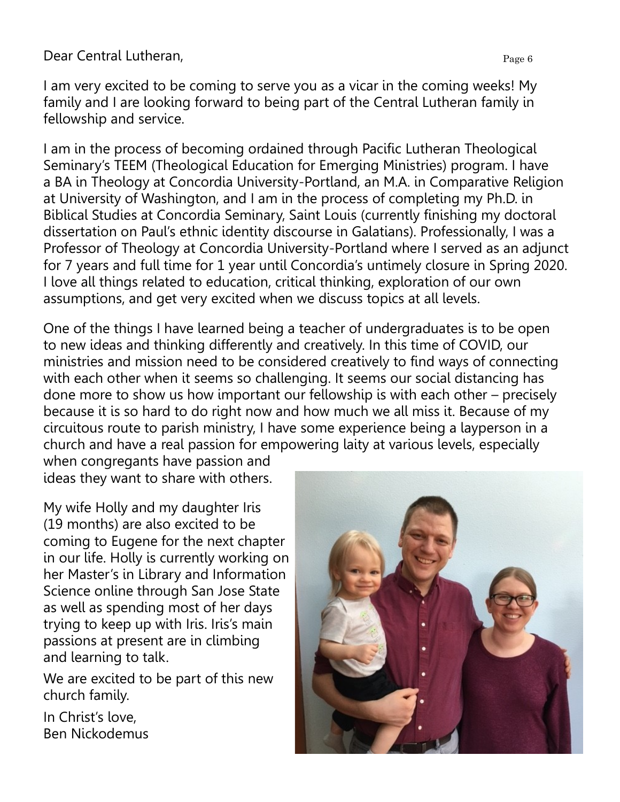I am very excited to be coming to serve you as a vicar in the coming weeks! My family and I are looking forward to being part of the Central Lutheran family in fellowship and service.

I am in the process of becoming ordained through Pacific Lutheran Theological Seminary's TEEM (Theological Education for Emerging Ministries) program. I have a BA in Theology at Concordia University-Portland, an M.A. in Comparative Religion at University of Washington, and I am in the process of completing my Ph.D. in Biblical Studies at Concordia Seminary, Saint Louis (currently finishing my doctoral dissertation on Paul's ethnic identity discourse in Galatians). Professionally, I was a Professor of Theology at Concordia University-Portland where I served as an adjunct for 7 years and full time for 1 year until Concordia's untimely closure in Spring 2020. I love all things related to education, critical thinking, exploration of our own assumptions, and get very excited when we discuss topics at all levels.

One of the things I have learned being a teacher of undergraduates is to be open to new ideas and thinking differently and creatively. In this time of COVID, our ministries and mission need to be considered creatively to find ways of connecting with each other when it seems so challenging. It seems our social distancing has done more to show us how important our fellowship is with each other – precisely because it is so hard to do right now and how much we all miss it. Because of my circuitous route to parish ministry, I have some experience being a layperson in a church and have a real passion for empowering laity at various levels, especially

when congregants have passion and ideas they want to share with others.

My wife Holly and my daughter Iris (19 months) are also excited to be coming to Eugene for the next chapter in our life. Holly is currently working on her Master's in Library and Information Science online through San Jose State as well as spending most of her days trying to keep up with Iris. Iris's main passions at present are in climbing and learning to talk.

We are excited to be part of this new church family.

In Christ's love, Ben Nickodemus

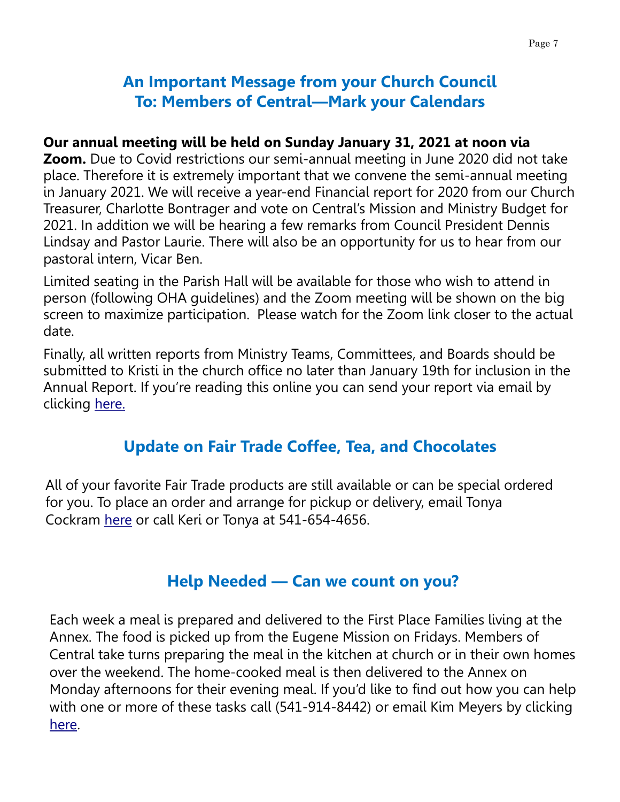# **An Important Message from your Church Council To: Members of Central—Mark your Calendars**

#### **Our annual meeting will be held on Sunday January 31, 2021 at noon via**

**Zoom.** Due to Covid restrictions our semi-annual meeting in June 2020 did not take place. Therefore it is extremely important that we convene the semi-annual meeting in January 2021. We will receive a year-end Financial report for 2020 from our Church Treasurer, Charlotte Bontrager and vote on Central's Mission and Ministry Budget for 2021. In addition we will be hearing a few remarks from Council President Dennis Lindsay and Pastor Laurie. There will also be an opportunity for us to hear from our pastoral intern, Vicar Ben.

Limited seating in the Parish Hall will be available for those who wish to attend in person (following OHA guidelines) and the Zoom meeting will be shown on the big screen to maximize participation. Please watch for the Zoom link closer to the actual date.

Finally, all written reports from Ministry Teams, Committees, and Boards should be submitted to Kristi in the church office no later than January 19th for inclusion in the Annual Report. If you're reading this online you can send your report via email by clicking [here.](mailto:info@welcometocentral.org?subject=Annual%20Report)

# **Update on Fair Trade Coffee, Tea, and Chocolates**

All of your favorite Fair Trade products are still available or can be special ordered for you. To place an order and arrange for pickup or delivery, email Tonya Cockram [here](mailto:jtcockram@gmail.com?subject=Fair%20Trade%20Coffee%20Order) or call Keri or Tonya at 541-654-4656.

# **Help Needed — Can we count on you?**

Each week a meal is prepared and delivered to the First Place Families living at the Annex. The food is picked up from the Eugene Mission on Fridays. Members of Central take turns preparing the meal in the kitchen at church or in their own homes over the weekend. The home-cooked meal is then delivered to the Annex on Monday afternoons for their evening meal. If you'd like to find out how you can help with one or more of these tasks call (541-914-8442) or email Kim Meyers by clicking [here.](mailto:kimcpa.meyers@gmail.com?subject=Help%20with%20First%20Place%20Family%20Meal)